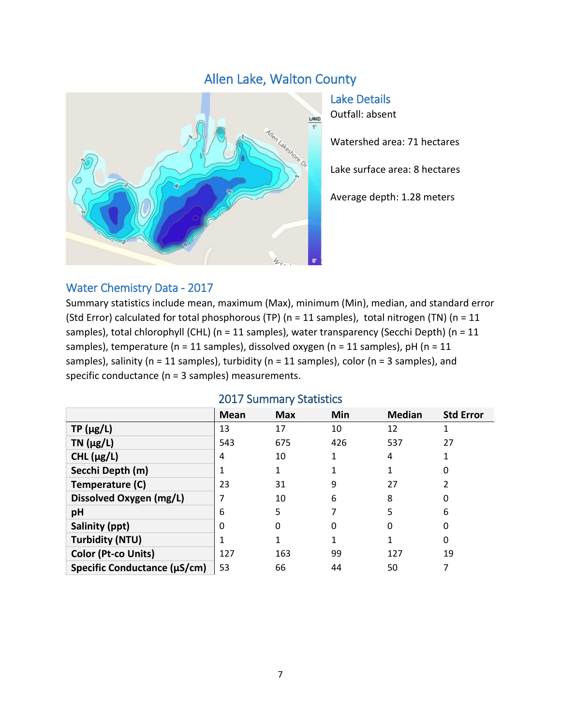# Allen Lake, Walton County



Lake Details Outfall: absent

Watershed area: 71 hectares

Lake surface area: 8 hectares

Average depth: 1.28 meters

#### Water Chemistry Data - 2017

Summary statistics include mean, maximum (Max), minimum (Min), median, and standard error (Std Error) calculated for total phosphorous (TP) ( $n = 11$  samples), total nitrogen (TN) ( $n = 11$ samples), total chlorophyll (CHL) (n = 11 samples), water transparency (Secchi Depth) (n = 11 samples), temperature (n = 11 samples), dissolved oxygen (n = 11 samples), pH (n = 11 samples), salinity (n = 11 samples), turbidity (n = 11 samples), color (n = 3 samples), and specific conductance (n = 3 samples) measurements.

|                              | <b>Mean</b> | <b>Max</b> | Min | <b>Median</b> | <b>Std Error</b> |
|------------------------------|-------------|------------|-----|---------------|------------------|
| $TP(\mu g/L)$                | 13          | 17         | 10  | 12            |                  |
| TN $(\mu g/L)$               | 543         | 675        | 426 | 537           | 27               |
| CHL $(\mu g/L)$              | 4           | 10         |     | 4             |                  |
| Secchi Depth (m)             |             |            |     |               | 0                |
| Temperature (C)              | 23          | 31         | 9   | 27            |                  |
| Dissolved Oxygen (mg/L)      |             | 10         | 6   | 8             | 0                |
| pH                           | 6           | 5          |     | 5             | 6                |
| Salinity (ppt)               | Ω           | 0          | 0   | 0             | 0                |
| <b>Turbidity (NTU)</b>       |             |            |     |               | 0                |
| <b>Color (Pt-co Units)</b>   | 127         | 163        | 99  | 127           | 19               |
| Specific Conductance (µS/cm) | 53          | 66         | 44  | 50            |                  |

#### 2017 Summary Statistics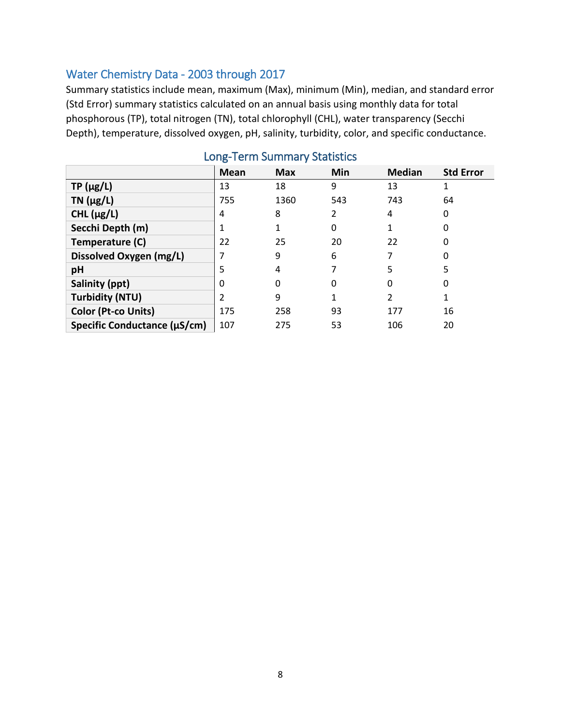### Water Chemistry Data - 2003 through 2017

Summary statistics include mean, maximum (Max), minimum (Min), median, and standard error (Std Error) summary statistics calculated on an annual basis using monthly data for total phosphorous (TP), total nitrogen (TN), total chlorophyll (CHL), water transparency (Secchi Depth), temperature, dissolved oxygen, pH, salinity, turbidity, color, and specific conductance.

|                              | Mean | <b>Max</b> | Min      | <b>Median</b>  | <b>Std Error</b> |
|------------------------------|------|------------|----------|----------------|------------------|
| $TP(\mu g/L)$                | 13   | 18         | 9        | 13             | 1                |
| TN $(\mu g/L)$               | 755  | 1360       | 543      | 743            | 64               |
| CHL $(\mu g/L)$              | 4    | 8          | 2        | 4              | 0                |
| Secchi Depth (m)             | 1    |            | 0        |                | 0                |
| Temperature (C)              | 22   | 25         | 20       | 22             | 0                |
| Dissolved Oxygen (mg/L)      |      | 9          | 6        |                | 0                |
| pH                           | 5    | 4          |          | 5              | 5                |
| Salinity (ppt)               | 0    | 0          | $\Omega$ | 0              | 0                |
| <b>Turbidity (NTU)</b>       | 2    | 9          |          | $\overline{2}$ | 1                |
| Color (Pt-co Units)          | 175  | 258        | 93       | 177            | 16               |
| Specific Conductance (µS/cm) | 107  | 275        | 53       | 106            | 20               |

### Long-Term Summary Statistics